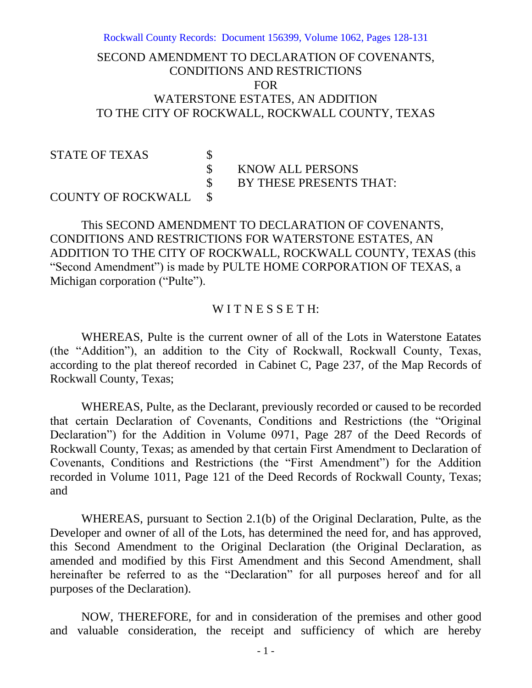Rockwall County Records: Document 156399, Volume 1062, Pages 128-131

# SECOND AMENDMENT TO DECLARATION OF COVENANTS, CONDITIONS AND RESTRICTIONS FOR WATERSTONE ESTATES, AN ADDITION TO THE CITY OF ROCKWALL, ROCKWALL COUNTY, TEXAS

# STATE OF TEXAS \$<br>\$

\$ KNOW ALL PERSONS

BY THESE PRESENTS THAT:

## COUNTY OF ROCKWALL \$

This SECOND AMENDMENT TO DECLARATION OF COVENANTS, CONDITIONS AND RESTRICTIONS FOR WATERSTONE ESTATES, AN ADDITION TO THE CITY OF ROCKWALL, ROCKWALL COUNTY, TEXAS (this "Second Amendment") is made by PULTE HOME CORPORATION OF TEXAS, a Michigan corporation ("Pulte").

#### WITNESSETH:

WHEREAS, Pulte is the current owner of all of the Lots in Waterstone Eatates (the "Addition"), an addition to the City of Rockwall, Rockwall County, Texas, according to the plat thereof recorded in Cabinet C, Page 237, of the Map Records of Rockwall County, Texas;

WHEREAS, Pulte, as the Declarant, previously recorded or caused to be recorded that certain Declaration of Covenants, Conditions and Restrictions (the "Original Declaration") for the Addition in Volume 0971, Page 287 of the Deed Records of Rockwall County, Texas; as amended by that certain First Amendment to Declaration of Covenants, Conditions and Restrictions (the "First Amendment") for the Addition recorded in Volume 1011, Page 121 of the Deed Records of Rockwall County, Texas; and

WHEREAS, pursuant to Section 2.1(b) of the Original Declaration, Pulte, as the Developer and owner of all of the Lots, has determined the need for, and has approved, this Second Amendment to the Original Declaration (the Original Declaration, as amended and modified by this First Amendment and this Second Amendment, shall hereinafter be referred to as the "Declaration" for all purposes hereof and for all purposes of the Declaration).

NOW, THEREFORE, for and in consideration of the premises and other good and valuable consideration, the receipt and sufficiency of which are hereby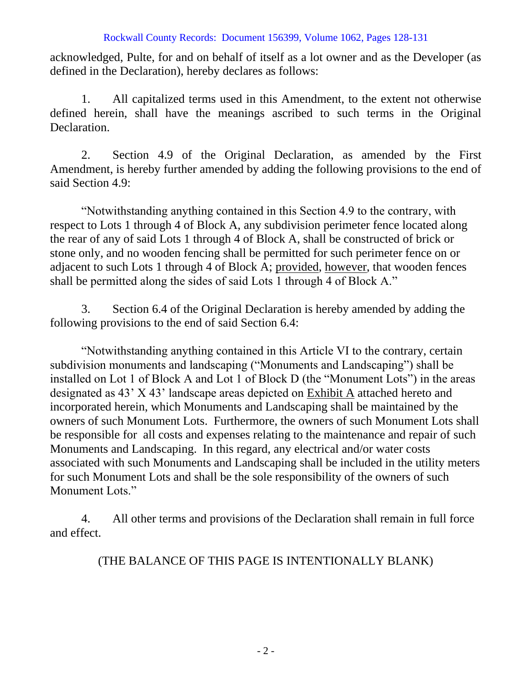#### Rockwall County Records: Document 156399, Volume 1062, Pages 128-131

acknowledged, Pulte, for and on behalf of itself as a lot owner and as the Developer (as defined in the Declaration), hereby declares as follows:

1. All capitalized terms used in this Amendment, to the extent not otherwise defined herein, shall have the meanings ascribed to such terms in the Original Declaration.

2. Section 4.9 of the Original Declaration, as amended by the First Amendment, is hereby further amended by adding the following provisions to the end of said Section 4.9:

"Notwithstanding anything contained in this Section 4.9 to the contrary, with respect to Lots 1 through 4 of Block A, any subdivision perimeter fence located along the rear of any of said Lots 1 through 4 of Block A, shall be constructed of brick or stone only, and no wooden fencing shall be permitted for such perimeter fence on or adjacent to such Lots 1 through 4 of Block A; provided, however, that wooden fences shall be permitted along the sides of said Lots 1 through 4 of Block A."

3. Section 6.4 of the Original Declaration is hereby amended by adding the following provisions to the end of said Section 6.4:

"Notwithstanding anything contained in this Article VI to the contrary, certain subdivision monuments and landscaping ("Monuments and Landscaping") shall be installed on Lot 1 of Block A and Lot 1 of Block D (the "Monument Lots") in the areas designated as 43' X 43' landscape areas depicted on Exhibit A attached hereto and incorporated herein, which Monuments and Landscaping shall be maintained by the owners of such Monument Lots. Furthermore, the owners of such Monument Lots shall be responsible for all costs and expenses relating to the maintenance and repair of such Monuments and Landscaping. In this regard, any electrical and/or water costs associated with such Monuments and Landscaping shall be included in the utility meters for such Monument Lots and shall be the sole responsibility of the owners of such Monument Lots."

4. All other terms and provisions of the Declaration shall remain in full force and effect.

(THE BALANCE OF THIS PAGE IS INTENTIONALLY BLANK)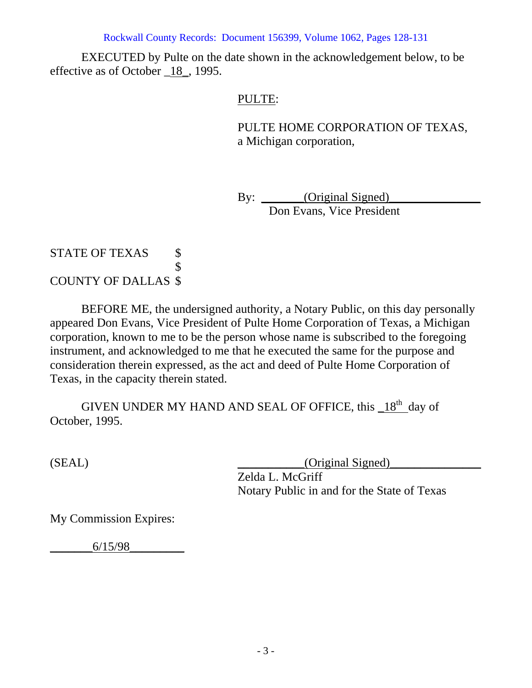Rockwall County Records: Document 156399, Volume 1062, Pages 128-131

EXECUTED by Pulte on the date shown in the acknowledgement below, to be effective as of October \_18\_, 1995.

## PULTE:

PULTE HOME CORPORATION OF TEXAS, a Michigan corporation,

By: \_\_\_\_\_\_\_(Original Signed) Don Evans, Vice President

## STATE OF TEXAS \$ \$ COUNTY OF DALLAS \$

BEFORE ME, the undersigned authority, a Notary Public, on this day personally appeared Don Evans, Vice President of Pulte Home Corporation of Texas, a Michigan corporation, known to me to be the person whose name is subscribed to the foregoing instrument, and acknowledged to me that he executed the same for the purpose and consideration therein expressed, as the act and deed of Pulte Home Corporation of Texas, in the capacity therein stated.

GIVEN UNDER MY HAND AND SEAL OF OFFICE, this 18<sup>th</sup> day of October, 1995.

 $(SEAL)$   $\qquad \qquad \qquad (Original Signal)$ 

Zelda L. McGriff Notary Public in and for the State of Texas

My Commission Expires:

\_\_\_\_\_\_\_6/15/98\_\_\_\_\_\_\_\_\_